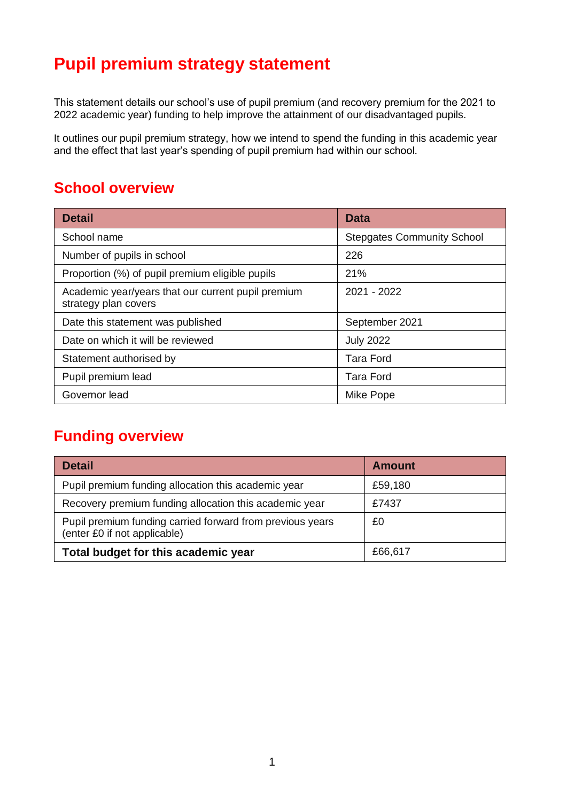# **Pupil premium strategy statement**

This statement details our school's use of pupil premium (and recovery premium for the 2021 to 2022 academic year) funding to help improve the attainment of our disadvantaged pupils.

It outlines our pupil premium strategy, how we intend to spend the funding in this academic year and the effect that last year's spending of pupil premium had within our school.

### **School overview**

| <b>Detail</b>                                                              | Data                              |
|----------------------------------------------------------------------------|-----------------------------------|
| School name                                                                | <b>Stepgates Community School</b> |
| Number of pupils in school                                                 | 226                               |
| Proportion (%) of pupil premium eligible pupils                            | 21%                               |
| Academic year/years that our current pupil premium<br>strategy plan covers | 2021 - 2022                       |
| Date this statement was published                                          | September 2021                    |
| Date on which it will be reviewed                                          | <b>July 2022</b>                  |
| Statement authorised by                                                    | <b>Tara Ford</b>                  |
| Pupil premium lead                                                         | <b>Tara Ford</b>                  |
| Governor lead                                                              | Mike Pope                         |

# **Funding overview**

| <b>Detail</b>                                                                             | <b>Amount</b> |
|-------------------------------------------------------------------------------------------|---------------|
| Pupil premium funding allocation this academic year                                       | £59,180       |
| Recovery premium funding allocation this academic year                                    | £7437         |
| Pupil premium funding carried forward from previous years<br>(enter £0 if not applicable) | £0            |
| Total budget for this academic year                                                       | £66,617       |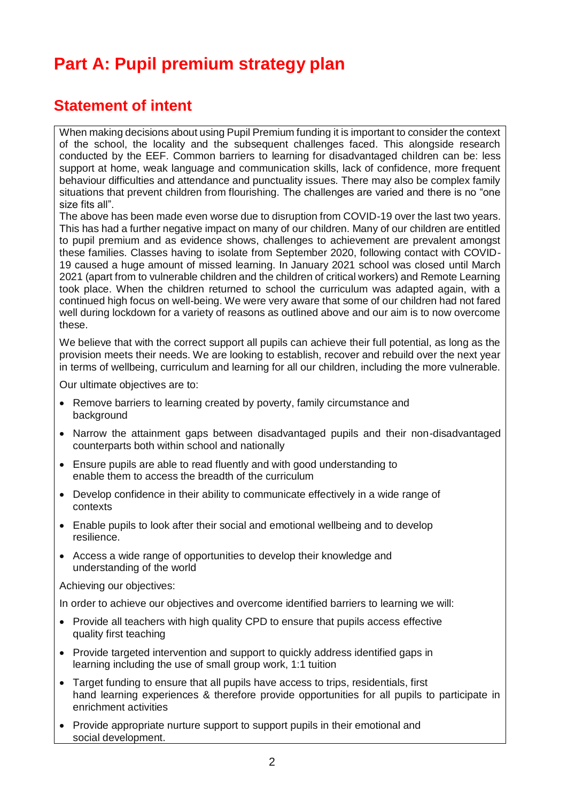# **Part A: Pupil premium strategy plan**

#### **Statement of intent**

When making decisions about using Pupil Premium funding it is important to consider the context of the school, the locality and the subsequent challenges faced. This alongside research conducted by the EEF. Common barriers to learning for disadvantaged children can be: less support at home, weak language and communication skills, lack of confidence, more frequent behaviour difficulties and attendance and punctuality issues. There may also be complex family situations that prevent children from flourishing. The challenges are varied and there is no "one size fits all".

The above has been made even worse due to disruption from COVID-19 over the last two years. This has had a further negative impact on many of our children. Many of our children are entitled to pupil premium and as evidence shows, challenges to achievement are prevalent amongst these families. Classes having to isolate from September 2020, following contact with COVID-19 caused a huge amount of missed learning. In January 2021 school was closed until March 2021 (apart from to vulnerable children and the children of critical workers) and Remote Learning took place. When the children returned to school the curriculum was adapted again, with a continued high focus on well-being. We were very aware that some of our children had not fared well during lockdown for a variety of reasons as outlined above and our aim is to now overcome these.

We believe that with the correct support all pupils can achieve their full potential, as long as the provision meets their needs. We are looking to establish, recover and rebuild over the next year in terms of wellbeing, curriculum and learning for all our children, including the more vulnerable.

Our ultimate objectives are to:

- Remove barriers to learning created by poverty, family circumstance and background
- Narrow the attainment gaps between disadvantaged pupils and their non-disadvantaged counterparts both within school and nationally
- Ensure pupils are able to read fluently and with good understanding to enable them to access the breadth of the curriculum
- Develop confidence in their ability to communicate effectively in a wide range of contexts
- Enable pupils to look after their social and emotional wellbeing and to develop resilience.
- Access a wide range of opportunities to develop their knowledge and understanding of the world

Achieving our objectives:

In order to achieve our objectives and overcome identified barriers to learning we will:

- Provide all teachers with high quality CPD to ensure that pupils access effective quality first teaching
- Provide targeted intervention and support to quickly address identified gaps in learning including the use of small group work, 1:1 tuition
- Target funding to ensure that all pupils have access to trips, residentials, first hand learning experiences & therefore provide opportunities for all pupils to participate in enrichment activities
- Provide appropriate nurture support to support pupils in their emotional and social development.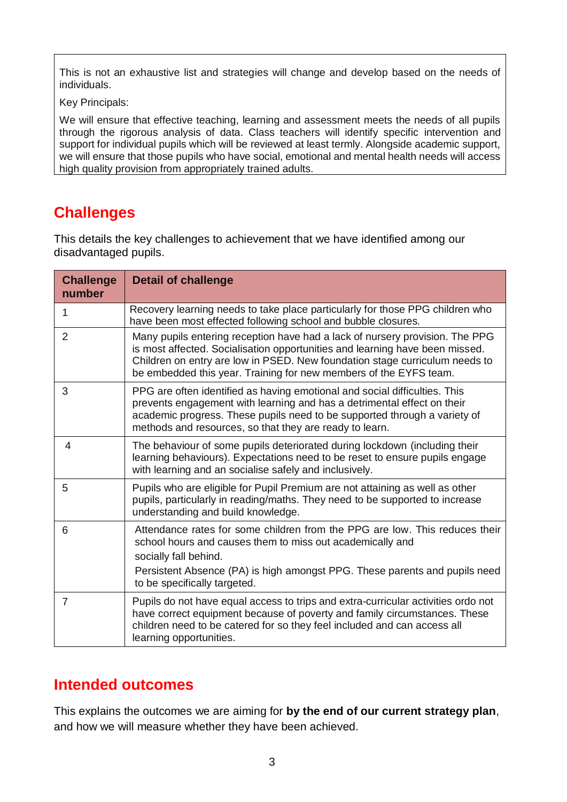This is not an exhaustive list and strategies will change and develop based on the needs of individuals.

Key Principals:

We will ensure that effective teaching, learning and assessment meets the needs of all pupils through the rigorous analysis of data. Class teachers will identify specific intervention and support for individual pupils which will be reviewed at least termly. Alongside academic support, we will ensure that those pupils who have social, emotional and mental health needs will access high quality provision from appropriately trained adults.

## **Challenges**

This details the key challenges to achievement that we have identified among our disadvantaged pupils.

| <b>Challenge</b><br>number | <b>Detail of challenge</b>                                                                                                                                                                                                                                                                                       |
|----------------------------|------------------------------------------------------------------------------------------------------------------------------------------------------------------------------------------------------------------------------------------------------------------------------------------------------------------|
| 1                          | Recovery learning needs to take place particularly for those PPG children who<br>have been most effected following school and bubble closures.                                                                                                                                                                   |
| $\overline{2}$             | Many pupils entering reception have had a lack of nursery provision. The PPG<br>is most affected. Socialisation opportunities and learning have been missed.<br>Children on entry are low in PSED. New foundation stage curriculum needs to<br>be embedded this year. Training for new members of the EYFS team. |
| 3                          | PPG are often identified as having emotional and social difficulties. This<br>prevents engagement with learning and has a detrimental effect on their<br>academic progress. These pupils need to be supported through a variety of<br>methods and resources, so that they are ready to learn.                    |
| 4                          | The behaviour of some pupils deteriorated during lockdown (including their<br>learning behaviours). Expectations need to be reset to ensure pupils engage<br>with learning and an socialise safely and inclusively.                                                                                              |
| 5                          | Pupils who are eligible for Pupil Premium are not attaining as well as other<br>pupils, particularly in reading/maths. They need to be supported to increase<br>understanding and build knowledge.                                                                                                               |
| 6                          | Attendance rates for some children from the PPG are low. This reduces their<br>school hours and causes them to miss out academically and<br>socially fall behind.<br>Persistent Absence (PA) is high amongst PPG. These parents and pupils need<br>to be specifically targeted.                                  |
| $\overline{7}$             | Pupils do not have equal access to trips and extra-curricular activities ordo not<br>have correct equipment because of poverty and family circumstances. These<br>children need to be catered for so they feel included and can access all<br>learning opportunities.                                            |

### **Intended outcomes**

This explains the outcomes we are aiming for **by the end of our current strategy plan**, and how we will measure whether they have been achieved.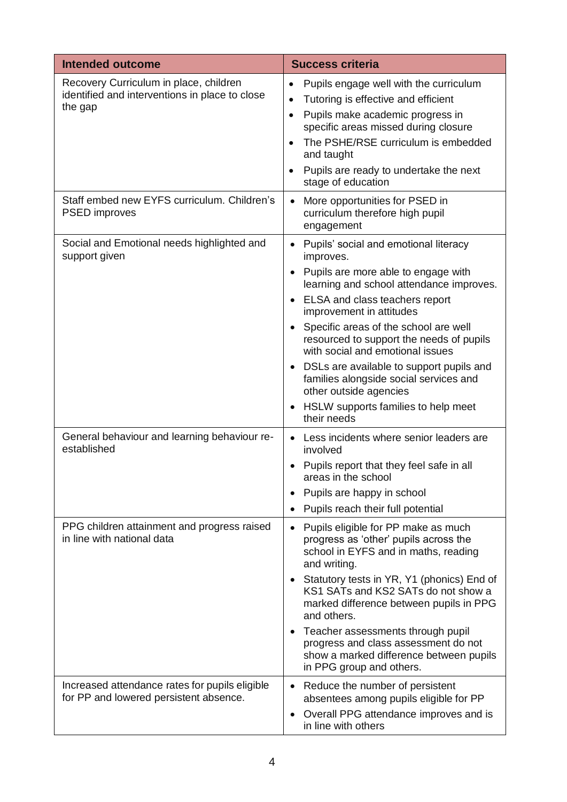| <b>Intended outcome</b>                                                                             | <b>Success criteria</b>                                                                                                                                                                                                                                                                                                                                                                                                                                                                                           |
|-----------------------------------------------------------------------------------------------------|-------------------------------------------------------------------------------------------------------------------------------------------------------------------------------------------------------------------------------------------------------------------------------------------------------------------------------------------------------------------------------------------------------------------------------------------------------------------------------------------------------------------|
| Recovery Curriculum in place, children<br>identified and interventions in place to close<br>the gap | Pupils engage well with the curriculum<br>$\bullet$<br>Tutoring is effective and efficient<br>Pupils make academic progress in<br>$\bullet$<br>specific areas missed during closure<br>The PSHE/RSE curriculum is embedded<br>and taught<br>Pupils are ready to undertake the next<br>stage of education                                                                                                                                                                                                          |
| Staff embed new EYFS curriculum. Children's<br><b>PSED</b> improves                                 | More opportunities for PSED in<br>$\bullet$<br>curriculum therefore high pupil<br>engagement                                                                                                                                                                                                                                                                                                                                                                                                                      |
| Social and Emotional needs highlighted and<br>support given                                         | Pupils' social and emotional literacy<br>$\bullet$<br>improves.<br>• Pupils are more able to engage with<br>learning and school attendance improves.<br>ELSA and class teachers report<br>improvement in attitudes<br>Specific areas of the school are well<br>resourced to support the needs of pupils<br>with social and emotional issues<br>DSLs are available to support pupils and<br>families alongside social services and<br>other outside agencies<br>HSLW supports families to help meet<br>their needs |
| General behaviour and learning behaviour re-<br>established                                         | Less incidents where senior leaders are<br>involved<br>Pupils report that they feel safe in all<br>areas in the school<br>Pupils are happy in school<br>Pupils reach their full potential                                                                                                                                                                                                                                                                                                                         |
| PPG children attainment and progress raised<br>in line with national data                           | Pupils eligible for PP make as much<br>progress as 'other' pupils across the<br>school in EYFS and in maths, reading<br>and writing.<br>Statutory tests in YR, Y1 (phonics) End of<br>KS1 SATs and KS2 SATs do not show a<br>marked difference between pupils in PPG<br>and others.<br>Teacher assessments through pupil<br>progress and class assessment do not<br>show a marked difference between pupils<br>in PPG group and others.                                                                           |
| Increased attendance rates for pupils eligible<br>for PP and lowered persistent absence.            | Reduce the number of persistent<br>$\bullet$<br>absentees among pupils eligible for PP<br>Overall PPG attendance improves and is<br>in line with others                                                                                                                                                                                                                                                                                                                                                           |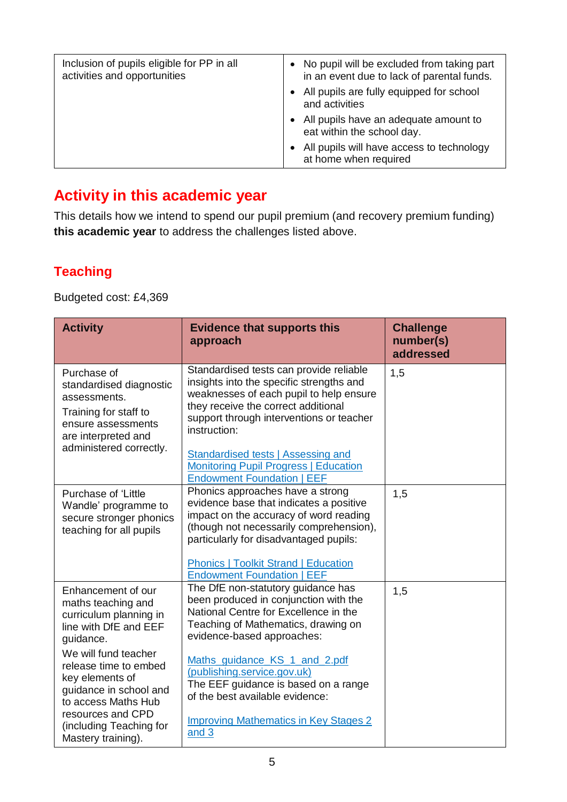| Inclusion of pupils eligible for PP in all<br>activities and opportunities | • No pupil will be excluded from taking part<br>in an event due to lack of parental funds. |
|----------------------------------------------------------------------------|--------------------------------------------------------------------------------------------|
|                                                                            | All pupils are fully equipped for school<br>and activities                                 |
|                                                                            | All pupils have an adequate amount to<br>eat within the school day.                        |
|                                                                            | All pupils will have access to technology<br>at home when required                         |

# **Activity in this academic year**

This details how we intend to spend our pupil premium (and recovery premium funding) **this academic year** to address the challenges listed above.

## **Teaching**

Budgeted cost: £4,369

| <b>Activity</b>                                                                                                                                                                         | <b>Evidence that supports this</b><br>approach                                                                                                                                                                                                                                                                                                                      | <b>Challenge</b><br>number(s)<br>addressed |
|-----------------------------------------------------------------------------------------------------------------------------------------------------------------------------------------|---------------------------------------------------------------------------------------------------------------------------------------------------------------------------------------------------------------------------------------------------------------------------------------------------------------------------------------------------------------------|--------------------------------------------|
| Purchase of<br>standardised diagnostic<br>assessments.<br>Training for staff to<br>ensure assessments<br>are interpreted and<br>administered correctly.                                 | Standardised tests can provide reliable<br>insights into the specific strengths and<br>weaknesses of each pupil to help ensure<br>they receive the correct additional<br>support through interventions or teacher<br>instruction:<br><b>Standardised tests   Assessing and</b><br><b>Monitoring Pupil Progress   Education</b><br><b>Endowment Foundation   EEF</b> | 1,5                                        |
| Purchase of 'Little<br>Wandle' programme to<br>secure stronger phonics<br>teaching for all pupils                                                                                       | Phonics approaches have a strong<br>evidence base that indicates a positive<br>impact on the accuracy of word reading<br>(though not necessarily comprehension),<br>particularly for disadvantaged pupils:<br><b>Phonics   Toolkit Strand   Education</b><br><b>Endowment Foundation   EEF</b>                                                                      | 1,5                                        |
| Enhancement of our<br>maths teaching and<br>curriculum planning in<br>line with DfE and EEF<br>guidance.                                                                                | The DfE non-statutory guidance has<br>been produced in conjunction with the<br>National Centre for Excellence in the<br>Teaching of Mathematics, drawing on<br>evidence-based approaches:                                                                                                                                                                           | 1,5                                        |
| We will fund teacher<br>release time to embed<br>key elements of<br>guidance in school and<br>to access Maths Hub<br>resources and CPD<br>(including Teaching for<br>Mastery training). | Maths_guidance_KS_1_and_2.pdf<br>(publishing.service.gov.uk)<br>The EEF guidance is based on a range<br>of the best available evidence:<br><b>Improving Mathematics in Key Stages 2</b><br>and 3                                                                                                                                                                    |                                            |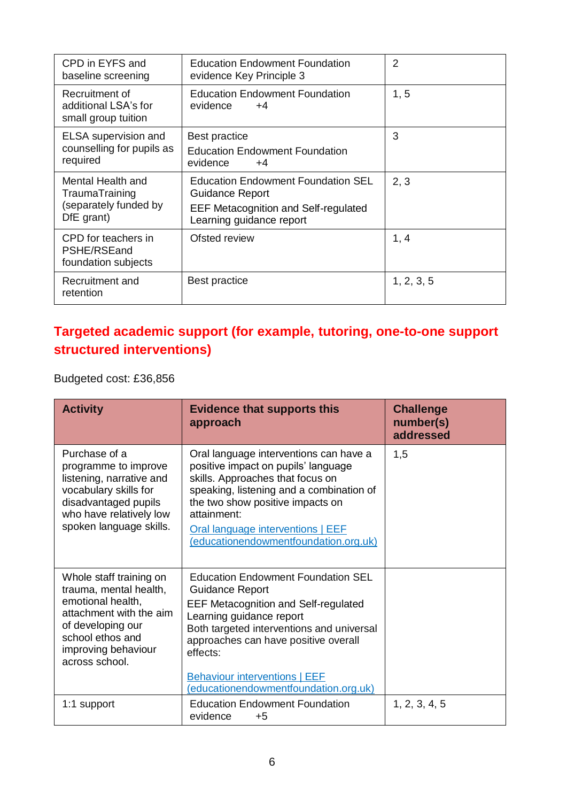| CPD in EYFS and<br>baseline screening                                      | <b>Education Endowment Foundation</b><br>evidence Key Principle 3                                                                              | $\overline{2}$ |
|----------------------------------------------------------------------------|------------------------------------------------------------------------------------------------------------------------------------------------|----------------|
| Recruitment of<br>additional LSA's for<br>small group tuition              | <b>Education Endowment Foundation</b><br>evidence<br>$+4$                                                                                      | 1, 5           |
| <b>ELSA</b> supervision and<br>counselling for pupils as<br>required       | <b>Best practice</b><br><b>Education Endowment Foundation</b><br>evidence<br>$+4$                                                              | 3              |
| Mental Health and<br>TraumaTraining<br>(separately funded by<br>DfE grant) | <b>Education Endowment Foundation SEL</b><br><b>Guidance Report</b><br><b>EEF Metacognition and Self-regulated</b><br>Learning guidance report | 2, 3           |
| CPD for teachers in<br>PSHE/RSEand<br>foundation subjects                  | Ofsted review                                                                                                                                  | 1, 4           |
| Recruitment and<br>retention                                               | <b>Best practice</b>                                                                                                                           | 1, 2, 3, 5     |

### **Targeted academic support (for example, tutoring, one-to-one support structured interventions)**

Budgeted cost: £36,856

| <b>Activity</b>                                                                                                                                                                     | <b>Evidence that supports this</b><br>approach                                                                                                                                                                                                                                                                            | <b>Challenge</b><br>number(s)<br>addressed |
|-------------------------------------------------------------------------------------------------------------------------------------------------------------------------------------|---------------------------------------------------------------------------------------------------------------------------------------------------------------------------------------------------------------------------------------------------------------------------------------------------------------------------|--------------------------------------------|
| Purchase of a<br>programme to improve<br>listening, narrative and<br>vocabulary skills for<br>disadvantaged pupils<br>who have relatively low<br>spoken language skills.            | Oral language interventions can have a<br>positive impact on pupils' language<br>skills. Approaches that focus on<br>speaking, listening and a combination of<br>the two show positive impacts on<br>attainment:<br><b>Oral language interventions   EEF</b><br>(educationendowmentfoundation.org.uk)                     | 1,5                                        |
| Whole staff training on<br>trauma, mental health,<br>emotional health,<br>attachment with the aim<br>of developing our<br>school ethos and<br>improving behaviour<br>across school. | <b>Education Endowment Foundation SEL</b><br>Guidance Report<br><b>EEF Metacognition and Self-regulated</b><br>Learning guidance report<br>Both targeted interventions and universal<br>approaches can have positive overall<br>effects:<br><b>Behaviour interventions   EEF</b><br>(educationendowmentfoundation.org.uk) |                                            |
| 1:1 support                                                                                                                                                                         | <b>Education Endowment Foundation</b><br>evidence<br>$+5$                                                                                                                                                                                                                                                                 | 1, 2, 3, 4, 5                              |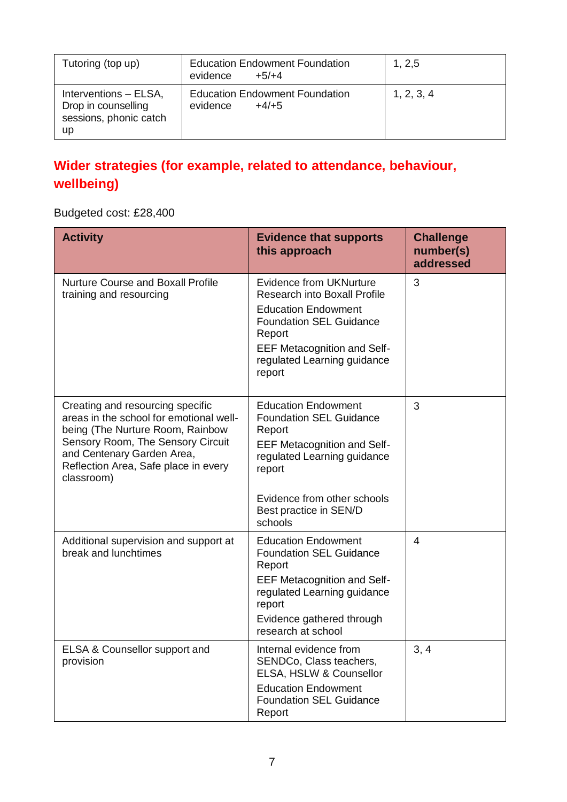| Tutoring (top up)                                                            | <b>Education Endowment Foundation</b><br>evidence<br>$+5/+4$ | 1, 2, 5    |
|------------------------------------------------------------------------------|--------------------------------------------------------------|------------|
| Interventions - ELSA,<br>Drop in counselling<br>sessions, phonic catch<br>up | <b>Education Endowment Foundation</b><br>$+4/+5$<br>evidence | 1, 2, 3, 4 |

## **Wider strategies (for example, related to attendance, behaviour, wellbeing)**

Budgeted cost: £28,400

| <b>Activity</b>                                                                                                                                                                                                                          | <b>Evidence that supports</b><br>this approach                                                                                                                                                                                 | <b>Challenge</b><br>number(s)<br>addressed |
|------------------------------------------------------------------------------------------------------------------------------------------------------------------------------------------------------------------------------------------|--------------------------------------------------------------------------------------------------------------------------------------------------------------------------------------------------------------------------------|--------------------------------------------|
| <b>Nurture Course and Boxall Profile</b><br>training and resourcing                                                                                                                                                                      | <b>Evidence from UKNurture</b><br><b>Research into Boxall Profile</b><br><b>Education Endowment</b><br><b>Foundation SEL Guidance</b><br>Report<br><b>EEF Metacognition and Self-</b><br>regulated Learning guidance<br>report | 3                                          |
| Creating and resourcing specific<br>areas in the school for emotional well-<br>being (The Nurture Room, Rainbow<br>Sensory Room, The Sensory Circuit<br>and Centenary Garden Area,<br>Reflection Area, Safe place in every<br>classroom) | <b>Education Endowment</b><br><b>Foundation SEL Guidance</b><br>Report<br><b>EEF Metacognition and Self-</b><br>regulated Learning guidance<br>report<br>Evidence from other schools<br>Best practice in SEN/D<br>schools      | 3                                          |
| Additional supervision and support at<br>break and lunchtimes                                                                                                                                                                            | <b>Education Endowment</b><br><b>Foundation SEL Guidance</b><br>Report<br><b>EEF Metacognition and Self-</b><br>regulated Learning guidance<br>report<br>Evidence gathered through<br>research at school                       | 4                                          |
| ELSA & Counsellor support and<br>provision                                                                                                                                                                                               | Internal evidence from<br>SENDCo, Class teachers,<br>ELSA, HSLW & Counsellor<br><b>Education Endowment</b><br><b>Foundation SEL Guidance</b><br>Report                                                                         | 3, 4                                       |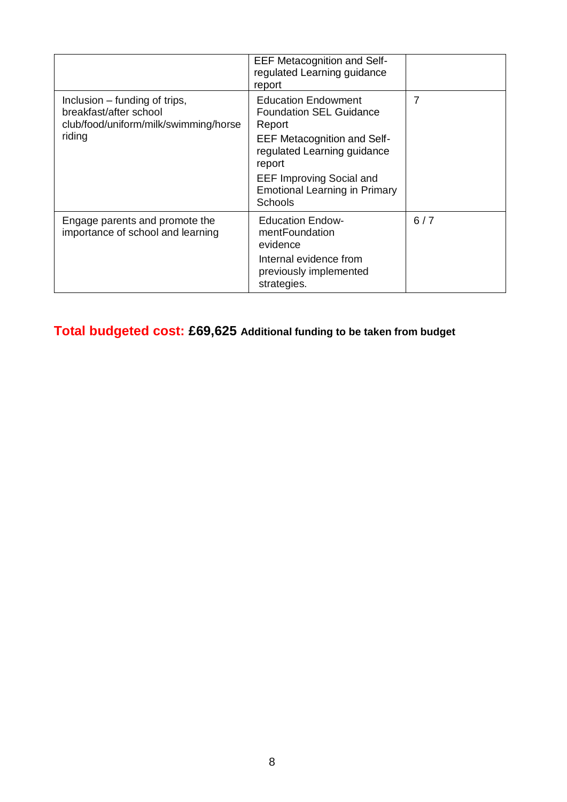|                                                                                                            | <b>EEF Metacognition and Self-</b><br>regulated Learning guidance<br>report                                                                                                                                                                 |     |
|------------------------------------------------------------------------------------------------------------|---------------------------------------------------------------------------------------------------------------------------------------------------------------------------------------------------------------------------------------------|-----|
| Inclusion – funding of trips,<br>breakfast/after school<br>club/food/uniform/milk/swimming/horse<br>riding | <b>Education Endowment</b><br><b>Foundation SEL Guidance</b><br>Report<br><b>EEF Metacognition and Self-</b><br>regulated Learning guidance<br>report<br><b>EEF Improving Social and</b><br><b>Emotional Learning in Primary</b><br>Schools | 7   |
| Engage parents and promote the<br>importance of school and learning                                        | <b>Education Endow-</b><br>mentFoundation<br>evidence<br>Internal evidence from<br>previously implemented<br>strategies.                                                                                                                    | 6/7 |

## **Total budgeted cost: £69,625 Additional funding to be taken from budget**